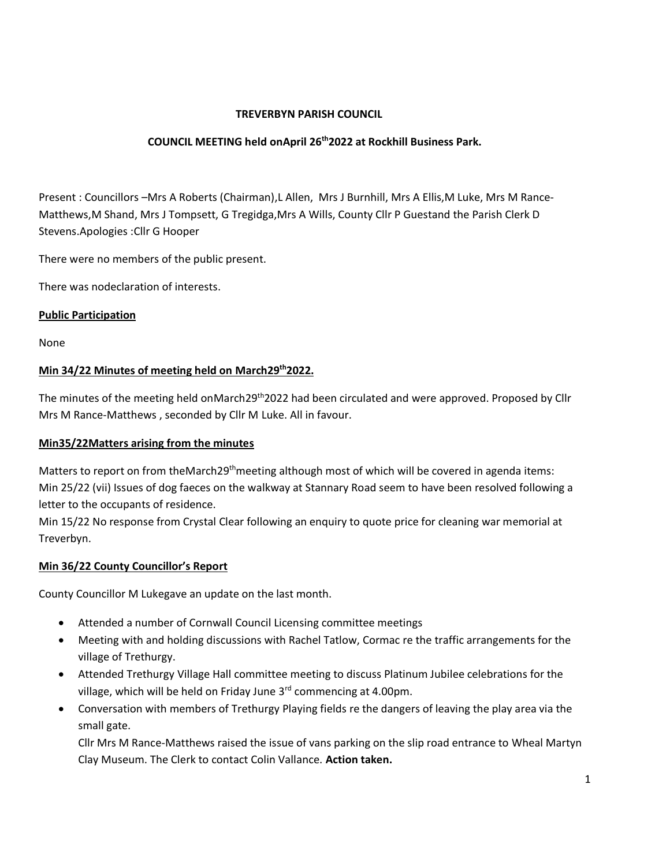## **TREVERBYN PARISH COUNCIL**

## **COUNCIL MEETING held onApril 26 th2022 at Rockhill Business Park.**

Present : Councillors –Mrs A Roberts (Chairman),L Allen, Mrs J Burnhill, Mrs A Ellis,M Luke, Mrs M Rance-Matthews,M Shand, Mrs J Tompsett, G Tregidga,Mrs A Wills, County Cllr P Guestand the Parish Clerk D Stevens.Apologies :Cllr G Hooper

There were no members of the public present.

There was nodeclaration of interests.

#### **Public Participation**

None

# **Min 34/22 Minutes of meeting held on March29 th2022.**

The minutes of the meeting held onMarch29<sup>th</sup>2022 had been circulated and were approved. Proposed by Cllr Mrs M Rance-Matthews , seconded by Cllr M Luke. All in favour.

#### **Min35/22Matters arising from the minutes**

Matters to report on from theMarch29<sup>th</sup>meeting although most of which will be covered in agenda items: Min 25/22 (vii) Issues of dog faeces on the walkway at Stannary Road seem to have been resolved following a letter to the occupants of residence.

Min 15/22 No response from Crystal Clear following an enquiry to quote price for cleaning war memorial at Treverbyn.

# **Min 36/22 County Councillor's Report**

County Councillor M Lukegave an update on the last month.

- Attended a number of Cornwall Council Licensing committee meetings
- Meeting with and holding discussions with Rachel Tatlow, Cormac re the traffic arrangements for the village of Trethurgy.
- Attended Trethurgy Village Hall committee meeting to discuss Platinum Jubilee celebrations for the village, which will be held on Friday June 3rd commencing at 4.00pm.
- Conversation with members of Trethurgy Playing fields re the dangers of leaving the play area via the small gate.

Cllr Mrs M Rance-Matthews raised the issue of vans parking on the slip road entrance to Wheal Martyn Clay Museum. The Clerk to contact Colin Vallance. **Action taken.**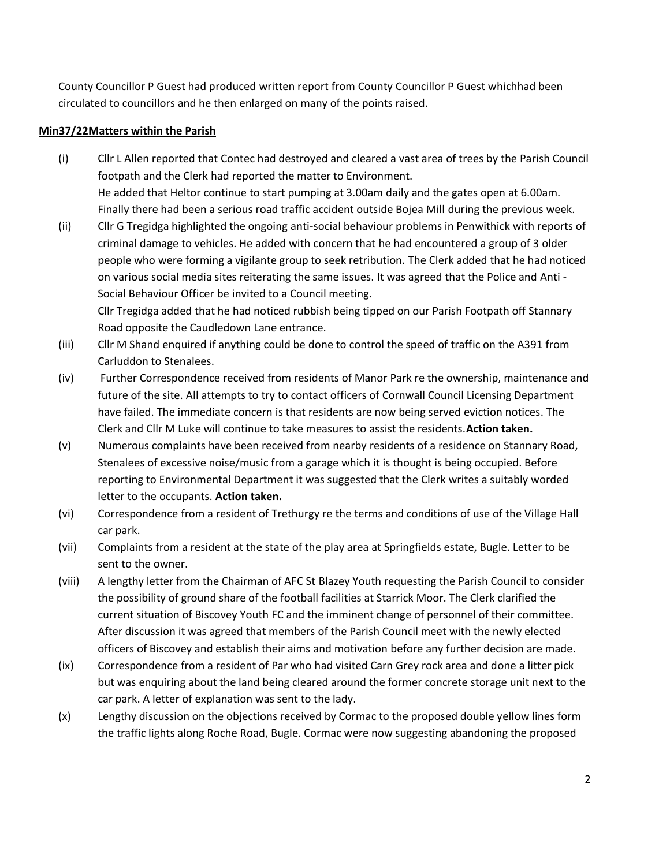County Councillor P Guest had produced written report from County Councillor P Guest whichhad been circulated to councillors and he then enlarged on many of the points raised.

#### **Min37/22Matters within the Parish**

- (i) Cllr L Allen reported that Contec had destroyed and cleared a vast area of trees by the Parish Council footpath and the Clerk had reported the matter to Environment. He added that Heltor continue to start pumping at 3.00am daily and the gates open at 6.00am. Finally there had been a serious road traffic accident outside Bojea Mill during the previous week.
- (ii) Cllr G Tregidga highlighted the ongoing anti-social behaviour problems in Penwithick with reports of criminal damage to vehicles. He added with concern that he had encountered a group of 3 older people who were forming a vigilante group to seek retribution. The Clerk added that he had noticed on various social media sites reiterating the same issues. It was agreed that the Police and Anti - Social Behaviour Officer be invited to a Council meeting. Cllr Tregidga added that he had noticed rubbish being tipped on our Parish Footpath off Stannary

Road opposite the Caudledown Lane entrance.

- (iii) Cllr M Shand enquired if anything could be done to control the speed of traffic on the A391 from Carluddon to Stenalees.
- (iv) Further Correspondence received from residents of Manor Park re the ownership, maintenance and future of the site. All attempts to try to contact officers of Cornwall Council Licensing Department have failed. The immediate concern is that residents are now being served eviction notices. The Clerk and Cllr M Luke will continue to take measures to assist the residents.**Action taken.**
- (v) Numerous complaints have been received from nearby residents of a residence on Stannary Road, Stenalees of excessive noise/music from a garage which it is thought is being occupied. Before reporting to Environmental Department it was suggested that the Clerk writes a suitably worded letter to the occupants. **Action taken.**
- (vi) Correspondence from a resident of Trethurgy re the terms and conditions of use of the Village Hall car park.
- (vii) Complaints from a resident at the state of the play area at Springfields estate, Bugle. Letter to be sent to the owner.
- (viii) A lengthy letter from the Chairman of AFC St Blazey Youth requesting the Parish Council to consider the possibility of ground share of the football facilities at Starrick Moor. The Clerk clarified the current situation of Biscovey Youth FC and the imminent change of personnel of their committee. After discussion it was agreed that members of the Parish Council meet with the newly elected officers of Biscovey and establish their aims and motivation before any further decision are made.
- (ix) Correspondence from a resident of Par who had visited Carn Grey rock area and done a litter pick but was enquiring about the land being cleared around the former concrete storage unit next to the car park. A letter of explanation was sent to the lady.
- (x) Lengthy discussion on the objections received by Cormac to the proposed double yellow lines form the traffic lights along Roche Road, Bugle. Cormac were now suggesting abandoning the proposed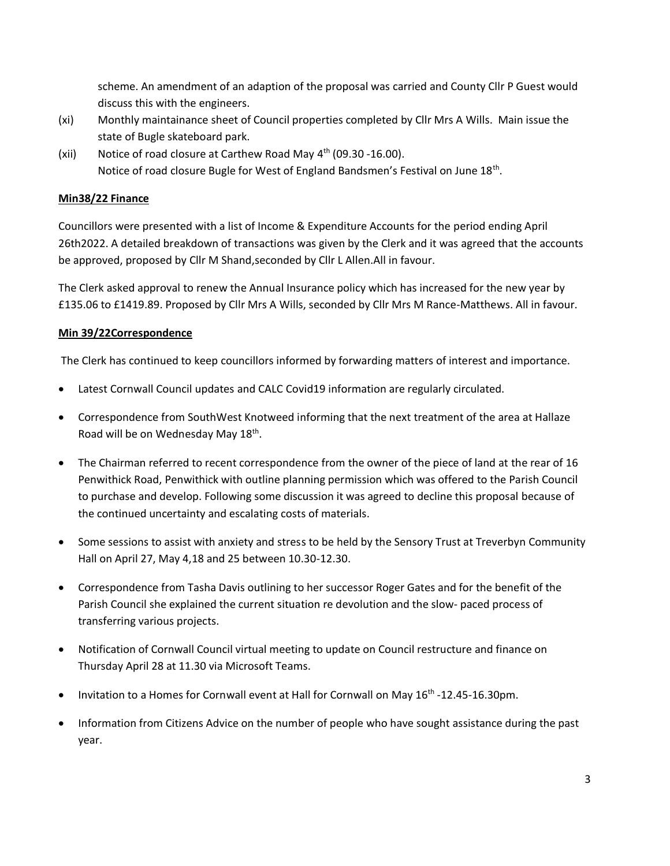scheme. An amendment of an adaption of the proposal was carried and County Cllr P Guest would discuss this with the engineers.

- (xi) Monthly maintainance sheet of Council properties completed by Cllr Mrs A Wills. Main issue the state of Bugle skateboard park.
- (xii) Notice of road closure at Carthew Road May  $4<sup>th</sup>$  (09.30 -16.00). Notice of road closure Bugle for West of England Bandsmen's Festival on June 18<sup>th</sup>.

## **Min38/22 Finance**

Councillors were presented with a list of Income & Expenditure Accounts for the period ending April 26th2022. A detailed breakdown of transactions was given by the Clerk and it was agreed that the accounts be approved, proposed by Cllr M Shand,seconded by Cllr L Allen.All in favour.

The Clerk asked approval to renew the Annual Insurance policy which has increased for the new year by £135.06 to £1419.89. Proposed by Cllr Mrs A Wills, seconded by Cllr Mrs M Rance-Matthews. All in favour.

## **Min 39/22Correspondence**

The Clerk has continued to keep councillors informed by forwarding matters of interest and importance.

- Latest Cornwall Council updates and CALC Covid19 information are regularly circulated.
- Correspondence from SouthWest Knotweed informing that the next treatment of the area at Hallaze Road will be on Wednesday May 18<sup>th</sup>.
- The Chairman referred to recent correspondence from the owner of the piece of land at the rear of 16 Penwithick Road, Penwithick with outline planning permission which was offered to the Parish Council to purchase and develop. Following some discussion it was agreed to decline this proposal because of the continued uncertainty and escalating costs of materials.
- Some sessions to assist with anxiety and stress to be held by the Sensory Trust at Treverbyn Community Hall on April 27, May 4,18 and 25 between 10.30-12.30.
- Correspondence from Tasha Davis outlining to her successor Roger Gates and for the benefit of the Parish Council she explained the current situation re devolution and the slow- paced process of transferring various projects.
- Notification of Cornwall Council virtual meeting to update on Council restructure and finance on Thursday April 28 at 11.30 via Microsoft Teams.
- Invitation to a Homes for Cornwall event at Hall for Cornwall on May 16<sup>th</sup> -12.45-16.30pm.
- Information from Citizens Advice on the number of people who have sought assistance during the past year.